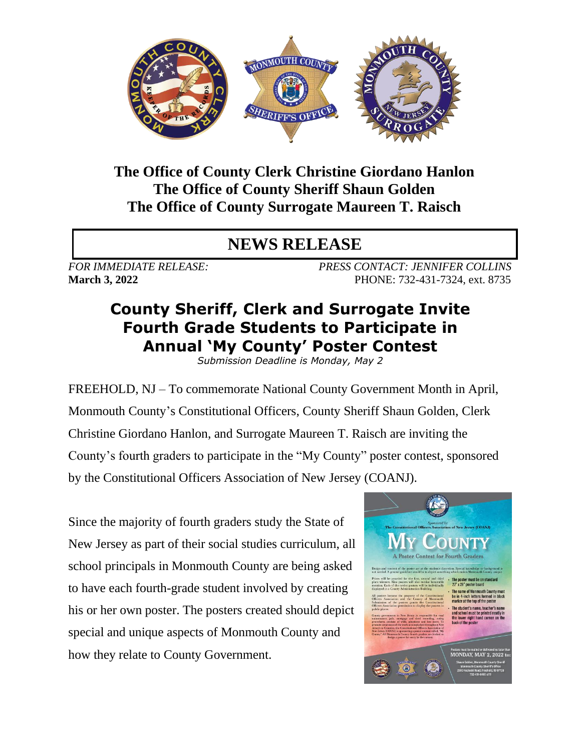

## **The Office of County Clerk Christine Giordano Hanlon The Office of County Sheriff Shaun Golden The Office of County Surrogate Maureen T. Raisch**

## **NEWS RELEASE**

*FOR IMMEDIATE RELEASE: PRESS CONTACT: JENNIFER COLLINS* **March 3, 2022 PHONE: 732-431-7324, ext. 8735** 

## **County Sheriff, Clerk and Surrogate Invite Fourth Grade Students to Participate in Annual 'My County' Poster Contest**

*Submission Deadline is Monday, May 2*

FREEHOLD, NJ – To commemorate National County Government Month in April, Monmouth County's Constitutional Officers, County Sheriff Shaun Golden, Clerk Christine Giordano Hanlon, and Surrogate Maureen T. Raisch are inviting the County's fourth graders to participate in the "My County" poster contest, sponsored by the Constitutional Officers Association of New Jersey (COANJ).

Since the majority of fourth graders study the State of New Jersey as part of their social studies curriculum, all school principals in Monmouth County are being asked to have each fourth-grade student involved by creating his or her own poster. The posters created should depict special and unique aspects of Monmouth County and how they relate to County Government.

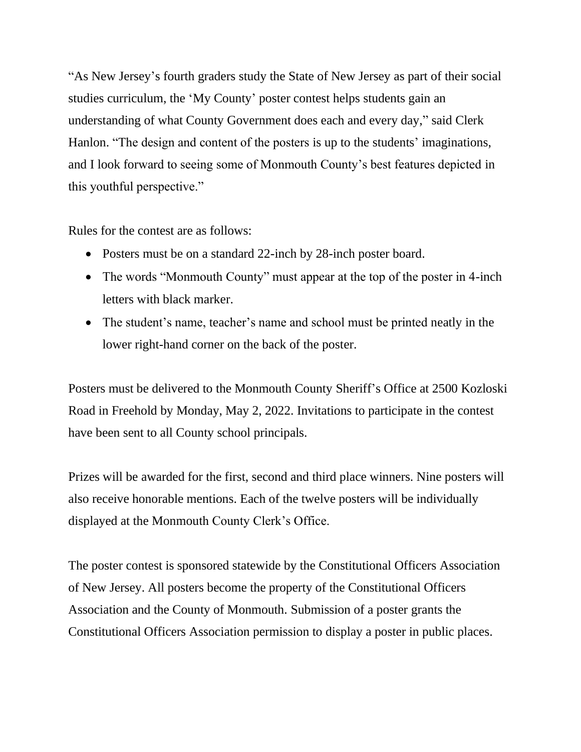"As New Jersey's fourth graders study the State of New Jersey as part of their social studies curriculum, the 'My County' poster contest helps students gain an understanding of what County Government does each and every day," said Clerk Hanlon. "The design and content of the posters is up to the students' imaginations, and I look forward to seeing some of Monmouth County's best features depicted in this youthful perspective."

Rules for the contest are as follows:

- Posters must be on a standard 22-inch by 28-inch poster board.
- The words "Monmouth County" must appear at the top of the poster in 4-inch letters with black marker.
- The student's name, teacher's name and school must be printed neatly in the lower right-hand corner on the back of the poster.

Posters must be delivered to the Monmouth County Sheriff's Office at 2500 Kozloski Road in Freehold by Monday, May 2, 2022. Invitations to participate in the contest have been sent to all County school principals.

Prizes will be awarded for the first, second and third place winners. Nine posters will also receive honorable mentions. Each of the twelve posters will be individually displayed at the Monmouth County Clerk's Office.

The poster contest is sponsored statewide by the Constitutional Officers Association of New Jersey. All posters become the property of the Constitutional Officers Association and the County of Monmouth. Submission of a poster grants the Constitutional Officers Association permission to display a poster in public places.